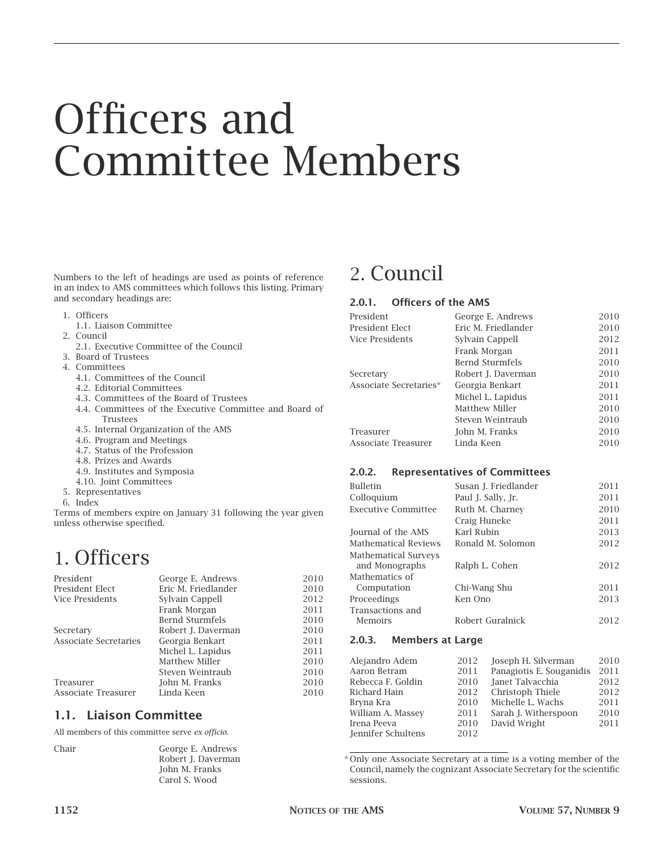# Officers and Committee Members

Numbers to the left of headings are used as points of reference in an index to AMS committees which follows this listing. Primary and secondary headings are:

- 1. Officers
- 1.1. Liaison Committee
- 2. Council
	- 2.1. Executive Committee of the Council
- 3. Board of Trustees
- 4. Committees
	- 4.1. Committees of the Council
	- 4.2. Editorial Committees
	- 4.3. Committees of the Board of Trustees
	- 4.4. Committees of the Executive Committee and Board of Trustees
	- 4.5. Internal Organization of the AMS
	- 4.6. Program and Meetings
	- 4.7. Status of the Profession
	- 4.8. Prizes and Awards
	- 4.9. Institutes and Symposia
	- 4.10. Joint Committees
- 5. Representatives
- 6. Index

Terms of members expire on January 31 following the year given unless otherwise specified.

# 1. Officers

| President             | George E. Andrews      | 2010 |
|-----------------------|------------------------|------|
| President Elect       | Eric M. Friedlander    | 2010 |
| Vice Presidents       | Sylvain Cappell        | 2012 |
|                       | Frank Morgan           | 2011 |
|                       | <b>Bernd Sturmfels</b> | 2010 |
| Secretary             | Robert J. Daverman     | 2010 |
| Associate Secretaries | Georgia Benkart        | 2011 |
|                       | Michel L. Lapidus      | 2011 |
|                       | <b>Matthew Miller</b>  | 2010 |
|                       | Steven Weintraub       | 2010 |
| Treasurer             | John M. Franks         | 2010 |
| Associate Treasurer   | Linda Keen             | 2010 |

# **1.1. Liaison Committee**

All members of this committee serve *ex officio*.

Chair George E. Andrews Robert J. Daverman John M. Franks Carol S. Wood

# 2. Council

#### **2.0.1. Officers of the AMS**

| President              | George E. Andrews      | 2010 |
|------------------------|------------------------|------|
| President Elect        | Eric M. Friedlander    | 2010 |
| Vice Presidents        | Sylvain Cappell        | 2012 |
|                        | Frank Morgan           | 2011 |
|                        | <b>Bernd Sturmfels</b> | 2010 |
| Secretary              | Robert J. Daverman     | 2010 |
| Associate Secretaries* | Georgia Benkart        | 2011 |
|                        | Michel L. Lapidus      | 2011 |
|                        | Matthew Miller         | 2010 |
|                        | Steven Weintraub       | 2010 |
| Treasurer              | John M. Franks         | 2010 |
| Associate Treasurer    | Linda Keen             | 2010 |

# **2.0.2. Representatives of Committees**

| <b>Bulletin</b>                               | Susan J. Friedlander | 2011 |
|-----------------------------------------------|----------------------|------|
| Colloquium                                    | Paul J. Sally, Jr.   | 2011 |
| <b>Executive Committee</b>                    | Ruth M. Charney      | 2010 |
|                                               | Craig Huneke         | 2011 |
| Journal of the AMS                            | Karl Rubin           | 2013 |
| Mathematical Reviews                          | Ronald M. Solomon    | 2012 |
| <b>Mathematical Surveys</b><br>and Monographs | Ralph L. Cohen       | 2012 |
| Mathematics of                                |                      |      |
| Computation                                   | Chi-Wang Shu         | 2011 |
| Proceedings                                   | Ken Ono              | 2013 |
| Transactions and<br>Memoirs                   | Robert Guralnick     | 2012 |

# **2.0.3. Members at Large**

| Alejandro Adem     | 2012 | Joseph H. Silverman      | 2010 |
|--------------------|------|--------------------------|------|
| Aaron Betram       | 2011 | Panagiotis E. Souganidis | 2011 |
| Rebecca F. Goldin  | 2010 | Janet Talvacchia         | 2012 |
| Richard Hain       | 2012 | Christoph Thiele         | 2012 |
| Bryna Kra          | 2010 | Michelle L. Wachs        | 2011 |
| William A. Massey  | 2011 | Sarah J. Witherspoon     | 2010 |
| Irena Peeva        | 2010 | David Wright             | 2011 |
| Jennifer Schultens | 2012 |                          |      |
|                    |      |                          |      |

\* Only one Associate Secretary at a time is a voting member of the Council, namely the cognizant Associate Secretary for the scientific sessions.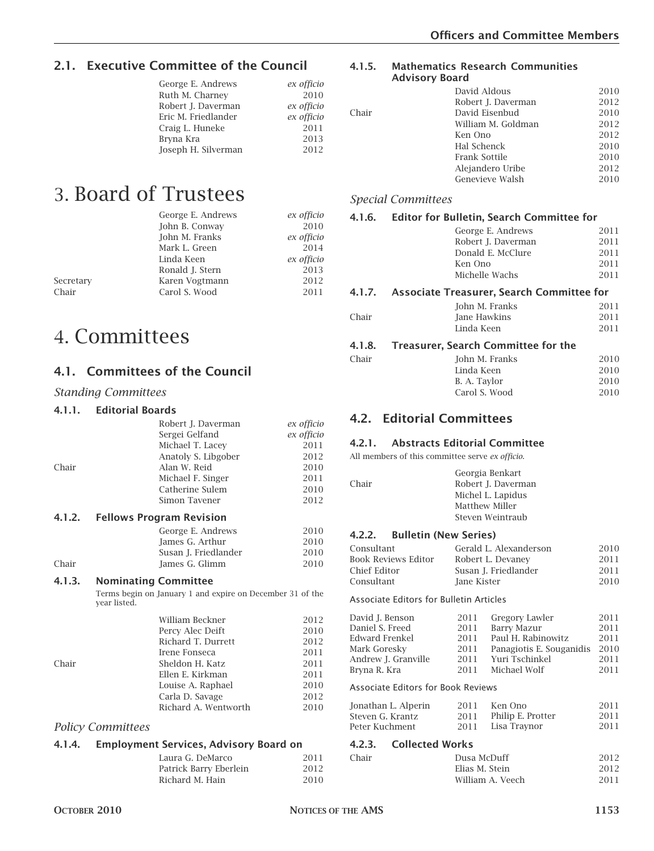# **2.1. Executive Committee of the Council**

| George E. Andrews   | ex officio |
|---------------------|------------|
|                     |            |
| Ruth M. Charney     | 2010       |
| Robert J. Daverman  | ex officio |
| Eric M. Friedlander | ex officio |
| Craig L. Huneke     | 2011       |
| Bryna Kra           | 2013       |
| Joseph H. Silverman | 2012       |
|                     |            |

# 3. Board of Trustees

|           | George E. Andrews | ex officio |
|-----------|-------------------|------------|
|           | John B. Conway    | 2010       |
|           | John M. Franks    | ex officio |
|           | Mark L. Green     | 2014       |
|           | Linda Keen        | ex officio |
|           | Ronald J. Stern   | 2013       |
| Secretary | Karen Vogtmann    | 2012       |
| Chair     | Carol S. Wood     | 2011       |
|           |                   |            |

# 4. Committees

# **4.1. Committees of the Council**

#### *Standing Committees*

#### **4.1.1. Editorial Boards**

|       | Robert J. Daverman  | ex officio |
|-------|---------------------|------------|
|       | Sergei Gelfand      | ex officio |
|       | Michael T. Lacey    | 2011       |
|       | Anatoly S. Libgober | 2012       |
| Chair | Alan W. Reid        | 2010       |
|       | Michael F. Singer   | 2011       |
|       | Catherine Sulem     | 2010       |
|       | Simon Tavener       | 2012       |

#### **4.1.2. Fellows Program Revision**

|       | George E. Andrews    | 2010 |
|-------|----------------------|------|
|       | James G. Arthur      | 2010 |
|       | Susan J. Friedlander | 2010 |
| Chair | James G. Glimm       | 2010 |
|       |                      |      |

#### **4.1.3. Nominating Committee**

Terms begin on January 1 and expire on December 31 of the year listed.

|       | William Beckner      | 2012 |
|-------|----------------------|------|
|       | Percy Alec Deift     | 2010 |
|       | Richard T. Durrett   | 2012 |
|       | Irene Fonseca        | 2011 |
| Chair | Sheldon H. Katz      | 2011 |
|       | Ellen E. Kirkman     | 2011 |
|       | Louise A. Raphael    | 2010 |
|       | Carla D. Savage      | 2012 |
|       | Richard A. Wentworth | 2010 |
|       |                      |      |

#### *Policy Committees*

#### **4.1.4. Employment Services, Advisory Board on**

| Laura G. DeMarco       | 2011 |
|------------------------|------|
| Patrick Barry Eberlein | 2012 |
| Richard M. Hain        | 2010 |

#### **4.1.5. Mathematics Research Communities Advisory Board**

#### David Aldous 2010 Robert J. Daverman 2012 Chair David Eisenbud 2010 William M. Goldman 2012 Ken Ono 2012 Hal Schenck 2010 Frank Sottile 2010 Alejandero Uribe 2012 Genevieve Walsh 2010

#### *Special Committees*

### **4.1.6. Editor for Bulletin, Search Committee for** George E. Andrews 2011 Robert J. Daverman 2011 Donald E. McClure 2011 Ken Ono 2011 Michelle Wachs 2011 **4.1.7. Associate Treasurer, Search Committee for** John M. Franks 2011 Chair Jane Hawkins 2011 Linda Keen 2011 **4.1.8. Treasurer, Search Committee for the**

#### Chair John M. Franks 2010 Linda Keen 2010<br>B. A. Tavlor 2010 B. A. Taylor Carol S. Wood 2010

# **4.2. Editorial Committees**

#### **4.2.1. Abstracts Editorial Committee**

All members of this committee serve *ex officio*.

|       | Georgia Benkart    |
|-------|--------------------|
| Chair | Robert I. Daverman |
|       | Michel L. Lapidus  |
|       | Matthew Miller     |
|       | Steven Weintraub   |
|       |                    |

#### **4.2.2. Bulletin (New Series)**

| Consultant          | Gerald L. Alexanderson | 2010 |
|---------------------|------------------------|------|
| Book Reviews Editor | Robert L. Devaney      | 2011 |
| Chief Editor        | Susan J. Friedlander   | 2011 |
| Consultant          | Jane Kister            | 2010 |

#### Associate Editors for Bulletin Articles

| David J. Benson                    | 2011 | Gregory Lawler           | 2011 |
|------------------------------------|------|--------------------------|------|
| Daniel S. Freed                    | 2011 | <b>Barry Mazur</b>       | 2011 |
| Edward Frenkel                     | 2011 | Paul H. Rabinowitz       | 2011 |
| Mark Goresky                       | 2011 | Panagiotis E. Souganidis | 2010 |
| Andrew J. Granville                | 2011 | Yuri Tschinkel           | 2011 |
| Bryna R. Kra                       | 2011 | Michael Wolf             | 2011 |
| Associate Editors for Book Reviews |      |                          |      |
| Jonathan L. Alperin                | 2011 | Ken Ono                  | 2011 |
| Steven G. Krantz                   | 2011 | Philip E. Protter        | 2011 |
| Peter Kuchment                     | 2011 | Lisa Traynor             | 2011 |
|                                    |      |                          |      |

#### **4.2.3. Collected Works**

| Chair | Dusa McDuff      | 2012 |
|-------|------------------|------|
|       | Flias M. Stein   | 2012 |
|       | William A. Veech | 2011 |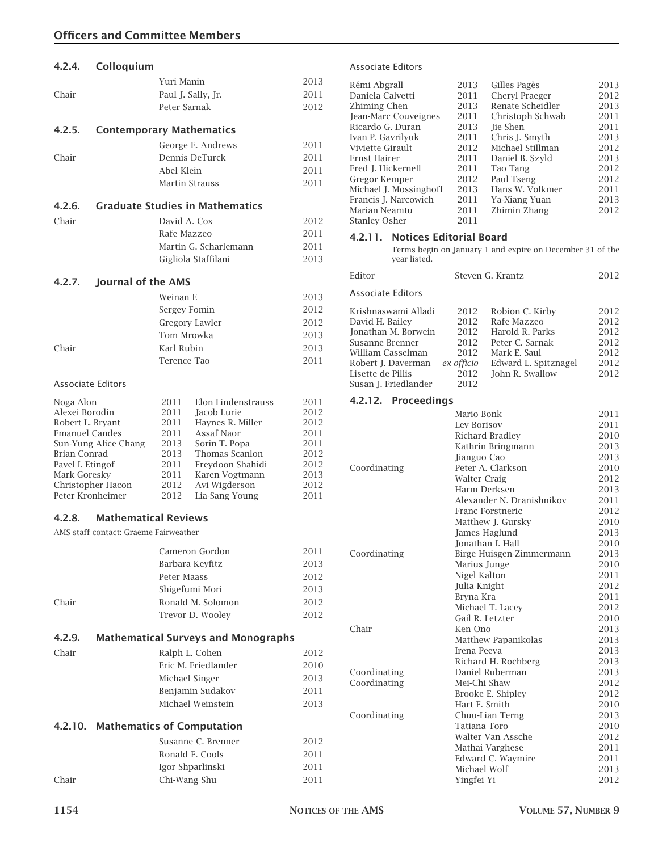|                  | Yuri Manin                                                                                                                                                               | 2013                                                                                                                                                                                                                                                                                                                                                                                                                                                                                                                                                                                                                                                        |
|------------------|--------------------------------------------------------------------------------------------------------------------------------------------------------------------------|-------------------------------------------------------------------------------------------------------------------------------------------------------------------------------------------------------------------------------------------------------------------------------------------------------------------------------------------------------------------------------------------------------------------------------------------------------------------------------------------------------------------------------------------------------------------------------------------------------------------------------------------------------------|
|                  | Paul J. Sally, Jr.                                                                                                                                                       | 2011                                                                                                                                                                                                                                                                                                                                                                                                                                                                                                                                                                                                                                                        |
|                  | Peter Sarnak                                                                                                                                                             | 2012                                                                                                                                                                                                                                                                                                                                                                                                                                                                                                                                                                                                                                                        |
|                  |                                                                                                                                                                          |                                                                                                                                                                                                                                                                                                                                                                                                                                                                                                                                                                                                                                                             |
|                  |                                                                                                                                                                          |                                                                                                                                                                                                                                                                                                                                                                                                                                                                                                                                                                                                                                                             |
|                  | George E. Andrews                                                                                                                                                        | 2011                                                                                                                                                                                                                                                                                                                                                                                                                                                                                                                                                                                                                                                        |
|                  | Dennis DeTurck                                                                                                                                                           | 2011                                                                                                                                                                                                                                                                                                                                                                                                                                                                                                                                                                                                                                                        |
|                  | Abel Klein                                                                                                                                                               | 2011                                                                                                                                                                                                                                                                                                                                                                                                                                                                                                                                                                                                                                                        |
|                  | Martin Strauss                                                                                                                                                           | 2011                                                                                                                                                                                                                                                                                                                                                                                                                                                                                                                                                                                                                                                        |
|                  |                                                                                                                                                                          |                                                                                                                                                                                                                                                                                                                                                                                                                                                                                                                                                                                                                                                             |
|                  |                                                                                                                                                                          |                                                                                                                                                                                                                                                                                                                                                                                                                                                                                                                                                                                                                                                             |
|                  | David A. Cox                                                                                                                                                             | 2012                                                                                                                                                                                                                                                                                                                                                                                                                                                                                                                                                                                                                                                        |
|                  | Rafe Mazzeo                                                                                                                                                              | 2011                                                                                                                                                                                                                                                                                                                                                                                                                                                                                                                                                                                                                                                        |
|                  | Martin G. Scharlemann                                                                                                                                                    | 2011                                                                                                                                                                                                                                                                                                                                                                                                                                                                                                                                                                                                                                                        |
|                  | Gigliola Staffilani                                                                                                                                                      | 2013                                                                                                                                                                                                                                                                                                                                                                                                                                                                                                                                                                                                                                                        |
|                  |                                                                                                                                                                          |                                                                                                                                                                                                                                                                                                                                                                                                                                                                                                                                                                                                                                                             |
|                  |                                                                                                                                                                          |                                                                                                                                                                                                                                                                                                                                                                                                                                                                                                                                                                                                                                                             |
|                  | Weinan E                                                                                                                                                                 | 2013                                                                                                                                                                                                                                                                                                                                                                                                                                                                                                                                                                                                                                                        |
|                  | Sergey Fomin                                                                                                                                                             | 2012                                                                                                                                                                                                                                                                                                                                                                                                                                                                                                                                                                                                                                                        |
|                  | Gregory Lawler                                                                                                                                                           | 2012                                                                                                                                                                                                                                                                                                                                                                                                                                                                                                                                                                                                                                                        |
|                  | Tom Mrowka                                                                                                                                                               | 2013                                                                                                                                                                                                                                                                                                                                                                                                                                                                                                                                                                                                                                                        |
|                  | Karl Rubin                                                                                                                                                               | 2013                                                                                                                                                                                                                                                                                                                                                                                                                                                                                                                                                                                                                                                        |
|                  | Terence Tao                                                                                                                                                              | 2011                                                                                                                                                                                                                                                                                                                                                                                                                                                                                                                                                                                                                                                        |
|                  |                                                                                                                                                                          |                                                                                                                                                                                                                                                                                                                                                                                                                                                                                                                                                                                                                                                             |
|                  |                                                                                                                                                                          |                                                                                                                                                                                                                                                                                                                                                                                                                                                                                                                                                                                                                                                             |
| Noga Alon        | Elon Lindenstrauss<br>2011                                                                                                                                               | 2011                                                                                                                                                                                                                                                                                                                                                                                                                                                                                                                                                                                                                                                        |
|                  | 2011                                                                                                                                                                     | 2012                                                                                                                                                                                                                                                                                                                                                                                                                                                                                                                                                                                                                                                        |
|                  |                                                                                                                                                                          | 2012                                                                                                                                                                                                                                                                                                                                                                                                                                                                                                                                                                                                                                                        |
|                  |                                                                                                                                                                          | 2011<br>2011                                                                                                                                                                                                                                                                                                                                                                                                                                                                                                                                                                                                                                                |
|                  |                                                                                                                                                                          | 2012                                                                                                                                                                                                                                                                                                                                                                                                                                                                                                                                                                                                                                                        |
| Pavel I. Etingof | Freydoon Shahidi<br>2011                                                                                                                                                 | 2012                                                                                                                                                                                                                                                                                                                                                                                                                                                                                                                                                                                                                                                        |
| Mark Goresky     | 2011<br>Karen Vogtmann                                                                                                                                                   | 2013                                                                                                                                                                                                                                                                                                                                                                                                                                                                                                                                                                                                                                                        |
|                  | 2012                                                                                                                                                                     | 2012                                                                                                                                                                                                                                                                                                                                                                                                                                                                                                                                                                                                                                                        |
|                  |                                                                                                                                                                          | 2011                                                                                                                                                                                                                                                                                                                                                                                                                                                                                                                                                                                                                                                        |
|                  |                                                                                                                                                                          |                                                                                                                                                                                                                                                                                                                                                                                                                                                                                                                                                                                                                                                             |
|                  |                                                                                                                                                                          |                                                                                                                                                                                                                                                                                                                                                                                                                                                                                                                                                                                                                                                             |
|                  |                                                                                                                                                                          |                                                                                                                                                                                                                                                                                                                                                                                                                                                                                                                                                                                                                                                             |
|                  |                                                                                                                                                                          | 2011                                                                                                                                                                                                                                                                                                                                                                                                                                                                                                                                                                                                                                                        |
|                  |                                                                                                                                                                          | 2013                                                                                                                                                                                                                                                                                                                                                                                                                                                                                                                                                                                                                                                        |
|                  |                                                                                                                                                                          | 2012                                                                                                                                                                                                                                                                                                                                                                                                                                                                                                                                                                                                                                                        |
|                  |                                                                                                                                                                          | 2013                                                                                                                                                                                                                                                                                                                                                                                                                                                                                                                                                                                                                                                        |
|                  |                                                                                                                                                                          | 2012                                                                                                                                                                                                                                                                                                                                                                                                                                                                                                                                                                                                                                                        |
|                  |                                                                                                                                                                          | 2012                                                                                                                                                                                                                                                                                                                                                                                                                                                                                                                                                                                                                                                        |
|                  |                                                                                                                                                                          |                                                                                                                                                                                                                                                                                                                                                                                                                                                                                                                                                                                                                                                             |
|                  |                                                                                                                                                                          | 2012                                                                                                                                                                                                                                                                                                                                                                                                                                                                                                                                                                                                                                                        |
|                  |                                                                                                                                                                          | 2010                                                                                                                                                                                                                                                                                                                                                                                                                                                                                                                                                                                                                                                        |
|                  |                                                                                                                                                                          | 2013                                                                                                                                                                                                                                                                                                                                                                                                                                                                                                                                                                                                                                                        |
|                  |                                                                                                                                                                          | 2011                                                                                                                                                                                                                                                                                                                                                                                                                                                                                                                                                                                                                                                        |
|                  |                                                                                                                                                                          | 2013                                                                                                                                                                                                                                                                                                                                                                                                                                                                                                                                                                                                                                                        |
|                  |                                                                                                                                                                          |                                                                                                                                                                                                                                                                                                                                                                                                                                                                                                                                                                                                                                                             |
|                  |                                                                                                                                                                          |                                                                                                                                                                                                                                                                                                                                                                                                                                                                                                                                                                                                                                                             |
|                  | Susanne C. Brenner                                                                                                                                                       | 2012                                                                                                                                                                                                                                                                                                                                                                                                                                                                                                                                                                                                                                                        |
|                  | Ronald F. Cools                                                                                                                                                          | 2011                                                                                                                                                                                                                                                                                                                                                                                                                                                                                                                                                                                                                                                        |
|                  | Igor Shparlinski                                                                                                                                                         | 2011                                                                                                                                                                                                                                                                                                                                                                                                                                                                                                                                                                                                                                                        |
|                  | Chi-Wang Shu                                                                                                                                                             | 2011                                                                                                                                                                                                                                                                                                                                                                                                                                                                                                                                                                                                                                                        |
|                  | <b>Associate Editors</b><br>Alexei Borodin<br>Robert L. Bryant<br><b>Emanuel Candes</b><br>Sun-Yung Alice Chang<br>Brian Conrad<br>Christopher Hacon<br>Peter Kronheimer | Colloquium<br><b>Contemporary Mathematics</b><br><b>Graduate Studies in Mathematics</b><br>Journal of the AMS<br>Jacob Lurie<br>2011<br>Haynes R. Miller<br>Assaf Naor<br>2011<br>Sorin T. Popa<br>2013<br>2013<br>Thomas Scanlon<br>Avi Wigderson<br>2012<br>Lia-Sang Young<br><b>Mathematical Reviews</b><br>AMS staff contact: Graeme Fairweather<br>Cameron Gordon<br>Barbara Keyfitz<br>Peter Maass<br>Shigefumi Mori<br>Ronald M. Solomon<br>Trevor D. Woolev<br><b>Mathematical Surveys and Monographs</b><br>Ralph L. Cohen<br>Eric M. Friedlander<br>Michael Singer<br>Benjamin Sudakov<br>Michael Weinstein<br>4.2.10. Mathematics of Computation |

#### Associate Editors

| Rémi Abgrall           | 2013 | Gilles Pagès     | 2013 |
|------------------------|------|------------------|------|
| Daniela Calvetti       | 2011 | Cheryl Praeger   | 2012 |
| Zhiming Chen           | 2013 | Renate Scheidler | 2013 |
| Jean-Marc Couveignes   | 2011 | Christoph Schwab | 2011 |
| Ricardo G. Duran       | 2013 | <b>Tie Shen</b>  | 2011 |
| Ivan P. Gavrilyuk      | 2011 | Chris J. Smyth   | 2013 |
| Viviette Girault       | 2012 | Michael Stillman | 2012 |
| Ernst Hairer           | 2011 | Daniel B. Szyld  | 2013 |
| Fred I. Hickernell     | 2011 | Tao Tang         | 2012 |
| Gregor Kemper          | 2012 | Paul Tseng       | 2012 |
| Michael J. Mossinghoff | 2013 | Hans W. Volkmer  | 2011 |
| Francis J. Narcowich   | 2011 | Ya-Xiang Yuan    | 2013 |
| Marian Neamtu          | 2011 | Zhimin Zhang     | 2012 |
| <b>Stanley Osher</b>   | 2011 |                  |      |
|                        |      |                  |      |

# **4.2.11. Notices Editorial Board**

Terms begin on January 1 and expire on December 31 of the year listed.

| Editor                   |            | Steven G. Krantz     |      |
|--------------------------|------------|----------------------|------|
| <b>Associate Editors</b> |            |                      |      |
| Krishnaswami Alladi      | 2012       | Robion C. Kirby      | 2012 |
| David H. Bailey          | 2012       | Rafe Mazzeo          | 2012 |
| Jonathan M. Borwein      | 2012       | Harold R. Parks      | 2012 |
| Susanne Brenner          | 2012       | Peter C. Sarnak      | 2012 |
| William Casselman        | 2012       | Mark E. Saul         | 2012 |
| Robert J. Daverman       | ex officio | Edward L. Spitznagel | 2012 |
| Lisette de Pillis        | 2012       | John R. Swallow      | 2012 |
| Susan I. Friedlander     | 2012       |                      |      |
|                          |            |                      |      |

#### **4.2.12. Proceedings**

|              | Mario Bonk                | 2011 |
|--------------|---------------------------|------|
|              | Lev Borisov               | 2011 |
|              | Richard Bradley           | 2010 |
|              | Kathrin Bringmann         | 2013 |
|              | Jianguo Cao               | 2013 |
| Coordinating | Peter A. Clarkson         | 2010 |
|              | <b>Walter Craig</b>       | 2012 |
|              | Harm Derksen              | 2013 |
|              | Alexander N. Dranishnikov | 2011 |
|              | Franc Forstneric          | 2012 |
|              | Matthew J. Gursky         | 2010 |
|              | James Haglund             | 2013 |
|              | Jonathan I. Hall          | 2010 |
| Coordinating | Birge Huisgen-Zimmermann  | 2013 |
|              | Marius Junge              | 2010 |
|              | Nigel Kalton              | 2011 |
|              | Julia Knight              | 2012 |
|              | Bryna Kra                 | 2011 |
|              | Michael T. Lacey          | 2012 |
|              | Gail R. Letzter           | 2010 |
| Chair        | Ken Ono                   | 2013 |
|              | Matthew Papanikolas       | 2013 |
|              | Irena Peeva               | 2013 |
|              | Richard H. Rochberg       | 2013 |
| Coordinating | Daniel Ruberman           | 2013 |
| Coordinating | Mei-Chi Shaw              | 2012 |
|              | Brooke E. Shipley         | 2012 |
|              | Hart F. Smith             | 2010 |
| Coordinating | Chuu-Lian Terng           | 2013 |
|              | Tatiana Toro              | 2010 |
|              | Walter Van Assche         | 2012 |
|              | Mathai Varghese           | 2011 |
|              | Edward C. Waymire         | 2011 |
|              | Michael Wolf              | 2013 |
|              | Yingfei Yi                | 2012 |
|              |                           |      |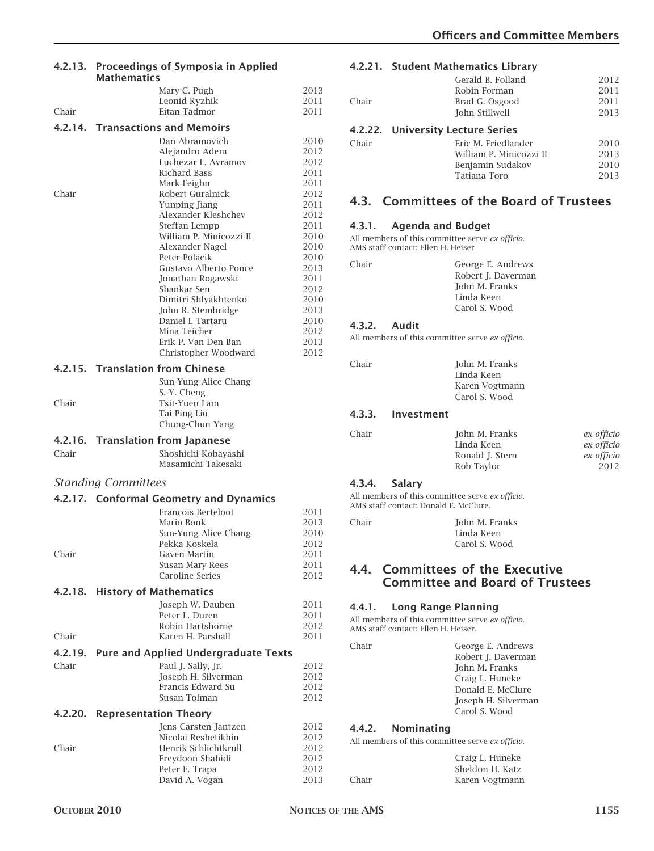| 4.2.13. Proceedings of Symposia in Applied |
|--------------------------------------------|
| <b>Mathematics</b>                         |

|         | Mary C. Pugh                                | 2013         |
|---------|---------------------------------------------|--------------|
|         | Leonid Ryzhik                               | 2011         |
| Chair   | <b>Eitan Tadmor</b>                         | 2011         |
|         | 4.2.14. Transactions and Memoirs            |              |
|         | Dan Abramovich                              |              |
|         | Aleiandro Adem                              | 2010<br>2012 |
|         | Luchezar L. Avramov                         | 2012         |
|         | Richard Bass                                | 2011         |
|         | Mark Feighn                                 | 2011         |
| Chair   | Robert Guralnick                            | 2012         |
|         | Yunping Jiang                               | 2011         |
|         | Alexander Kleshchev                         | 2012         |
|         | Steffan Lempp                               | 2011         |
|         | William P. Minicozzi II<br>Alexander Nagel  | 2010<br>2010 |
|         | Peter Polacik                               | 2010         |
|         | Gustavo Alberto Ponce                       | 2013         |
|         | Jonathan Rogawski                           | 2011         |
|         | Shankar Sen                                 | 2012         |
|         | Dimitri Shlyakhtenko                        | 2010         |
|         | John R. Stembridge                          | 2013         |
|         | Daniel I. Tartaru                           | 2010         |
|         | Mina Teicher<br>Erik P. Van Den Ban         | 2012<br>2013 |
|         | Christopher Woodward                        | 2012         |
|         |                                             |              |
|         | 4.2.15. Translation from Chinese            |              |
|         | Sun-Yung Alice Chang                        |              |
| Chair   | S.-Y. Cheng<br>Tsit-Yuen Lam                |              |
|         | Tai-Ping Liu                                |              |
|         | Chung-Chun Yang                             |              |
|         |                                             |              |
|         |                                             |              |
|         | 4.2.16. Translation from Japanese           |              |
| Chair   | Shoshichi Kobayashi                         |              |
|         | Masamichi Takesaki                          |              |
|         | <b>Standing Committees</b>                  |              |
|         |                                             |              |
|         | 4.2.17. Conformal Geometry and Dynamics     |              |
|         | Francois Berteloot                          | 2011         |
|         | Mario Bonk                                  | 2013         |
|         | Sun-Yung Alice Chang<br>Pekka Koskela       | 2010<br>2012 |
| Chair   | Gaven Martin                                | 2011         |
|         | Susan Mary Rees                             | 2011         |
|         | Caroline Series                             | 2012         |
|         | 4.2.18. History of Mathematics              |              |
|         |                                             | 2011         |
|         | Joseph W. Dauben<br>Peter L. Duren          | 2011         |
|         | Robin Hartshorne                            | 2012         |
| Chair   | Karen H. Parshall                           | 2011         |
| 4.2.19. |                                             |              |
| Chair   | <b>Pure and Applied Undergraduate Texts</b> |              |
|         | Paul J. Sally, Jr.<br>Joseph H. Silverman   | 2012<br>2012 |
|         | Francis Edward Su                           | 2012         |
|         | Susan Tolman                                | 2012         |
| 4.2.20. | <b>Representation Theory</b>                |              |
|         | Jens Carsten Jantzen                        | 2012         |
|         | Nicolai Reshetikhin                         | 2012         |
| Chair   | Henrik Schlichtkrull                        | 2012         |
|         | Freydoon Shahidi                            | 2012         |
|         | Peter E. Trapa<br>David A. Vogan            | 2012<br>2013 |

#### **4.2.21. Student Mathematics Library**

| Chair | Gerald B. Folland<br>Robin Forman<br>Brad G. Osgood<br>John Stillwell | 2012<br>2011<br>2011<br>2013 |
|-------|-----------------------------------------------------------------------|------------------------------|
|       | 4.2.22. University Lecture Series                                     |                              |
| Chair | Eric M. Friedlander                                                   | 2010                         |
|       | William P. Minicozzi II                                               | 2013                         |
|       | Benjamin Sudakov                                                      | 2010                         |
|       | Tatiana Toro                                                          | 2013                         |
|       |                                                                       |                              |

# **4.3. Committees of the Board of Trustees**

#### **4.3.1. Agenda and Budget**

All members of this committee serve *ex officio*. AMS staff contact: Ellen H. Heiser

| George E. Andrews  |
|--------------------|
| Robert J. Daverman |
| John M. Franks     |
| Linda Keen         |
| Carol S. Wood      |
|                    |

#### **4.3.2. Audit**

Chair

All members of this committee serve *ex officio*.

```
Chair John M. Franks
     Linda Keen
     Karen Vogtmann
     Carol S. Wood
```
#### **4.3.3. Investment**

| John M. Franks  | ex officio |
|-----------------|------------|
| Linda Keen      | ex officio |
| Ronald J. Stern | ex officio |
| Rob Taylor      | 2012       |
|                 |            |

#### **4.3.4. Salary**

All members of this committee serve *ex officio*. AMS staff contact: Donald E. McClure.

| Chair | John M. Franks |
|-------|----------------|
|       | Linda Keen     |
|       | Carol S. Wood  |

# **4.4. Committees of the Executive Committee and Board of Trustees**

# **4.4.1. Long Range Planning**

All members of this committee serve *ex officio*. AMS staff contact: Ellen H. Heiser.

| Chair | George E. Andrews                               |
|-------|-------------------------------------------------|
|       | Robert J. Daverman                              |
|       | John M. Franks                                  |
|       | Craig L. Huneke                                 |
|       | Donald E. McClure                               |
|       | Joseph H. Silverman                             |
|       | Carol S. Wood                                   |
|       | 4.4.2. Nominating                               |
|       | All members of this committee serve ex officio. |
|       | Craig L. Huneke                                 |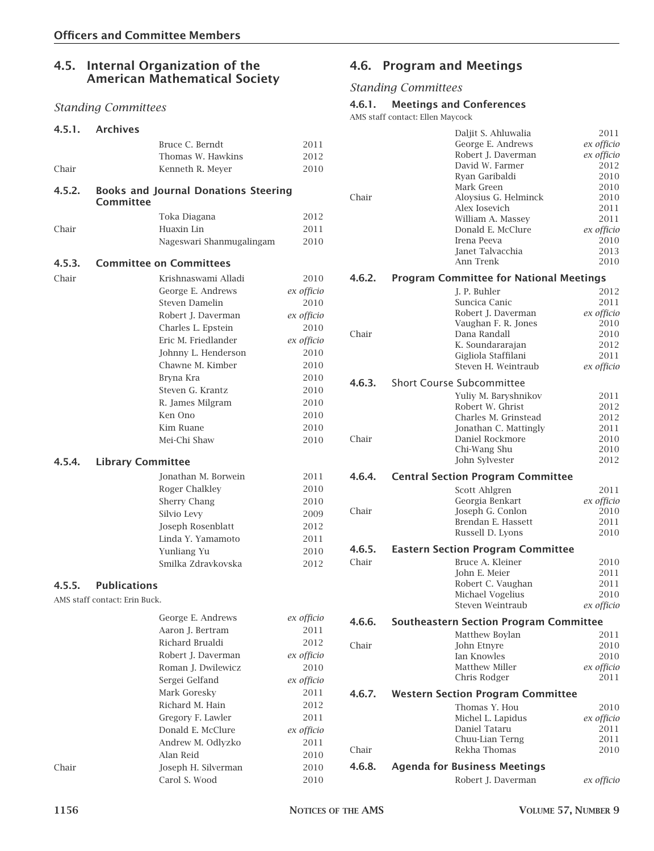# **4.5. Internal Organization of the American Mathematical Society**

# *Standing Committees*

| 4.5.1. | <b>Archives</b>               |                                             |              |
|--------|-------------------------------|---------------------------------------------|--------------|
|        |                               | Bruce C. Berndt                             | 2011         |
|        |                               | Thomas W. Hawkins                           | 2012         |
| Chair  |                               | Kenneth R. Meyer                            | 2010         |
| 4.5.2. | Committee                     | <b>Books and Journal Donations Steering</b> |              |
|        |                               |                                             |              |
|        |                               | Toka Diagana                                | 2012         |
| Chair  |                               | Huaxin Lin                                  | 2011<br>2010 |
|        |                               | Nageswari Shanmugalingam                    |              |
| 4.5.3. |                               | <b>Committee on Committees</b>              |              |
| Chair  |                               | Krishnaswami Alladi                         | 2010         |
|        |                               | George E. Andrews                           | ex officio   |
|        |                               | <b>Steven Damelin</b>                       | 2010         |
|        |                               | Robert J. Daverman                          | ex officio   |
|        |                               | Charles L. Epstein                          | 2010         |
|        |                               | Eric M. Friedlander                         | ex officio   |
|        |                               | Johnny L. Henderson                         | 2010         |
|        |                               | Chawne M. Kimber                            | 2010         |
|        |                               | Bryna Kra                                   | 2010         |
|        |                               | Steven G. Krantz                            | 2010         |
|        |                               | R. James Milgram                            | 2010         |
|        |                               | Ken Ono                                     | 2010         |
|        |                               | Kim Ruane                                   | 2010         |
|        |                               | Mei-Chi Shaw                                | 2010         |
| 4.5.4. | <b>Library Committee</b>      |                                             |              |
|        |                               | Jonathan M. Borwein                         | 2011         |
|        |                               | Roger Chalkley                              | 2010         |
|        |                               | Sherry Chang                                | 2010         |
|        |                               | Silvio Levy                                 | 2009         |
|        |                               | Joseph Rosenblatt                           | 2012         |
|        |                               | Linda Y. Yamamoto                           | 2011         |
|        |                               | Yunliang Yu                                 | 2010         |
|        |                               | Smilka Zdravkovska                          | 2012         |
| 4.5.5. | <b>Publications</b>           |                                             |              |
|        | AMS staff contact: Erin Buck. |                                             |              |
|        |                               | George E. Andrews                           | ex officio   |
|        |                               | Aaron J. Bertram                            | 2011         |
|        |                               | Richard Brualdi                             | 2012         |
|        |                               | Robert J. Daverman                          | ex officio   |
|        |                               | Roman J. Dwilewicz                          | 2010         |
|        |                               | Sergei Gelfand                              | ex officio   |
|        |                               | Mark Goresky                                | 2011         |
|        |                               | Richard M. Hain                             | 2012         |
|        |                               | Gregory F. Lawler                           | $2011\,$     |
|        |                               | Donald E. McClure                           | ex officio   |
|        |                               | Andrew M. Odlyzko                           | 2011         |
|        |                               | Alan Reid                                   | 2010         |
| Chair  |                               | Joseph H. Silverman                         | 2010         |
|        |                               | Carol S. Wood                               | 2010         |

# **4.6. Program and Meetings**

# *Standing Committees*

#### **4.6.1. Meetings and Conferences**

AMS staff contact: Ellen Maycock

| Chair  | David W. Farmer<br>Ryan Garibaldi<br>Mark Green<br>Alex Iosevich<br>Irena Peeva<br>Janet Talvacchia<br>Ann Trenk | Daljit S. Ahluwalia<br>George E. Andrews<br>Robert J. Daverman<br>Aloysius G. Helminck<br>William A. Massey<br>Donald E. McClure | 2011<br>ex officio<br>ex officio<br>2012<br>2010<br>2010<br>2010<br>2011<br>2011<br>ex officio<br>2010<br>2013<br>2010 |
|--------|------------------------------------------------------------------------------------------------------------------|----------------------------------------------------------------------------------------------------------------------------------|------------------------------------------------------------------------------------------------------------------------|
| 4.6.2. | <b>Program Committee for National Meetings</b>                                                                   |                                                                                                                                  |                                                                                                                        |
|        | J. P. Buhler                                                                                                     |                                                                                                                                  | 2012                                                                                                                   |
|        | Suncica Canic                                                                                                    |                                                                                                                                  | 2011                                                                                                                   |
|        |                                                                                                                  | Robert J. Daverman                                                                                                               | ex officio                                                                                                             |
| Chair  | Dana Randall                                                                                                     | Vaughan F. R. Jones                                                                                                              | 2010<br>2010                                                                                                           |
|        |                                                                                                                  | K. Soundararajan                                                                                                                 | 2012                                                                                                                   |
|        |                                                                                                                  | Gigliola Staffilani                                                                                                              | 2011                                                                                                                   |
|        |                                                                                                                  | Steven H. Weintraub                                                                                                              | ex officio                                                                                                             |
| 4.6.3. | <b>Short Course Subcommittee</b>                                                                                 |                                                                                                                                  |                                                                                                                        |
|        |                                                                                                                  | Yuliy M. Baryshnikov                                                                                                             | 2011                                                                                                                   |
|        | Robert W. Ghrist                                                                                                 |                                                                                                                                  | 2012                                                                                                                   |
|        |                                                                                                                  | Charles M. Grinstead                                                                                                             | 2012                                                                                                                   |
|        |                                                                                                                  | Jonathan C. Mattingly                                                                                                            | 2011                                                                                                                   |
| Chair  |                                                                                                                  | Daniel Rockmore                                                                                                                  | 2010                                                                                                                   |
|        | Chi-Wang Shu<br>John Sylvester                                                                                   |                                                                                                                                  | 2010<br>2012                                                                                                           |
|        |                                                                                                                  |                                                                                                                                  |                                                                                                                        |
| 4.6.4. | <b>Central Section Program Committee</b>                                                                         |                                                                                                                                  |                                                                                                                        |
|        | Scott Ahlgren                                                                                                    |                                                                                                                                  | 2011                                                                                                                   |
|        | Georgia Benkart                                                                                                  |                                                                                                                                  | ex officio                                                                                                             |
| Chair  |                                                                                                                  | Joseph G. Conlon<br>Brendan E. Hassett                                                                                           | 2010<br>2011                                                                                                           |
|        | Russell D. Lyons                                                                                                 |                                                                                                                                  | 2010                                                                                                                   |
| 4.6.5. | <b>Eastern Section Program Committee</b>                                                                         |                                                                                                                                  |                                                                                                                        |
| Chair  | Bruce A. Kleiner                                                                                                 |                                                                                                                                  | 2010                                                                                                                   |
|        | John E. Meier                                                                                                    |                                                                                                                                  | 2011                                                                                                                   |
|        |                                                                                                                  | Robert C. Vaughan                                                                                                                | 2011                                                                                                                   |
|        | Michael Vogelius                                                                                                 |                                                                                                                                  | 2010                                                                                                                   |
|        |                                                                                                                  | Steven Weintraub                                                                                                                 | ex officio                                                                                                             |
| 4.6.6. | <b>Southeastern Section Program Committee</b>                                                                    |                                                                                                                                  |                                                                                                                        |
|        | Matthew Boylan                                                                                                   |                                                                                                                                  | 2011                                                                                                                   |
| Chair  | John Etnyre                                                                                                      |                                                                                                                                  | 2010                                                                                                                   |
|        | Ian Knowles                                                                                                      |                                                                                                                                  | 2010                                                                                                                   |
|        | Matthew Miller<br>Chris Rodger                                                                                   |                                                                                                                                  | ex officio<br>2011                                                                                                     |
|        |                                                                                                                  |                                                                                                                                  |                                                                                                                        |
| 4.6.7. | <b>Western Section Program Committee</b>                                                                         |                                                                                                                                  |                                                                                                                        |
|        | Thomas Y. Hou                                                                                                    | Michel L. Lapidus                                                                                                                | 2010                                                                                                                   |
|        | Daniel Tataru                                                                                                    |                                                                                                                                  | ex officio<br>2011                                                                                                     |
|        |                                                                                                                  | Chuu-Lian Terng                                                                                                                  | 2011                                                                                                                   |
| Chair  | Rekha Thomas                                                                                                     |                                                                                                                                  | 2010                                                                                                                   |
| 4.6.8. | <b>Agenda for Business Meetings</b>                                                                              |                                                                                                                                  |                                                                                                                        |
|        |                                                                                                                  | Robert J. Daverman                                                                                                               | ex officio                                                                                                             |
|        |                                                                                                                  |                                                                                                                                  |                                                                                                                        |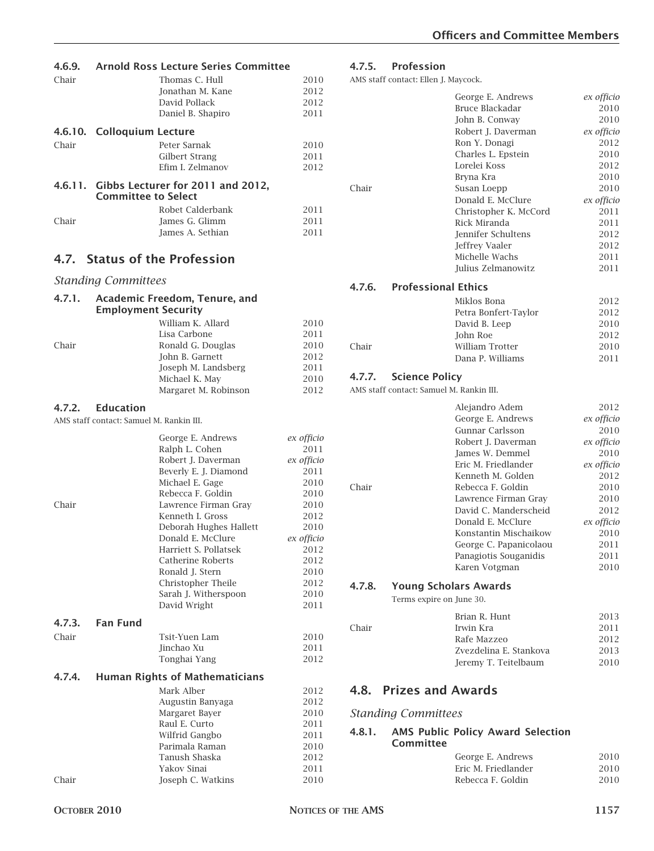| 4.6.9.  |                                          | <b>Arnold Ross Lecture Series Committee</b> |              |
|---------|------------------------------------------|---------------------------------------------|--------------|
| Chair   |                                          | Thomas C. Hull                              | 2010         |
|         |                                          | Jonathan M. Kane                            | 2012         |
|         |                                          | David Pollack                               | 2012         |
|         |                                          | Daniel B. Shapiro                           | 2011         |
|         |                                          |                                             |              |
| 4.6.10. | <b>Colloquium Lecture</b>                |                                             |              |
| Chair   |                                          | Peter Sarnak                                | 2010         |
|         |                                          | Gilbert Strang                              | 2011         |
|         |                                          | Efim I. Zelmanov                            | 2012         |
|         | <b>Committee to Select</b>               | 4.6.11. Gibbs Lecturer for 2011 and 2012,   |              |
|         |                                          | Robet Calderbank                            | 2011         |
| Chair   |                                          | James G. Glimm                              | 2011         |
|         |                                          | James A. Sethian                            | 2011         |
|         |                                          | 4.7. Status of the Profession               |              |
|         | <b>Standing Committees</b>               |                                             |              |
|         |                                          |                                             |              |
| 4.7.1.  | <b>Employment Security</b>               | Academic Freedom, Tenure, and               |              |
|         |                                          | William K. Allard                           | 2010         |
|         |                                          | Lisa Carbone                                | 2011         |
| Chair   |                                          | Ronald G. Douglas                           | 2010         |
|         |                                          | John B. Garnett                             | 2012         |
|         |                                          | Joseph M. Landsberg                         | 2011         |
|         |                                          | Michael K. May                              | 2010         |
|         |                                          | Margaret M. Robinson                        | 2012         |
|         | <b>Education</b>                         |                                             |              |
| 4.7.2.  | AMS staff contact: Samuel M. Rankin III. |                                             |              |
|         |                                          |                                             |              |
|         |                                          | George E. Andrews                           | ex officio   |
|         |                                          | Ralph L. Cohen                              | 2011         |
|         |                                          | Robert J. Daverman                          | ex officio   |
|         |                                          | Beverly E. J. Diamond                       | 2011         |
|         |                                          | Michael E. Gage                             | 2010         |
|         |                                          | Rebecca F. Goldin                           | 2010         |
| Chair   |                                          | Lawrence Firman Gray                        | 2010         |
|         |                                          | Kenneth I. Gross                            | 2012         |
|         |                                          | Deborah Hughes Hallett                      | 2010         |
|         |                                          | Donald E. McClure                           | ex officio   |
|         |                                          | Harriett S. Pollatsek                       | 2012         |
|         |                                          | Catherine Roberts                           | 2012         |
|         |                                          | Ronald J. Stern                             | 2010         |
|         |                                          | Christopher Theile                          | 2012         |
|         |                                          | Sarah J. Witherspoon<br>David Wright        | 2010<br>2011 |
|         |                                          |                                             |              |
| 4.7.3.  | <b>Fan Fund</b>                          |                                             |              |
| Chair   |                                          | Tsit-Yuen Lam                               | 2010         |
|         |                                          | Jinchao Xu                                  | 2011         |
|         |                                          | Tonghai Yang                                | 2012         |
| 4.7.4.  |                                          | <b>Human Rights of Mathematicians</b>       |              |
|         |                                          | Mark Alber                                  | 2012         |
|         |                                          | Augustin Banyaga                            | 2012         |
|         |                                          | Margaret Bayer                              | 2010         |
|         |                                          | Raul E. Curto                               | 2011         |
|         |                                          | Wilfrid Gangbo                              | 2011         |
|         |                                          | Parimala Raman                              | 2010         |
|         |                                          | Tanush Shaska                               | 2012         |
|         |                                          | Yakov Sinai                                 | 2011         |

Chair Joseph C. Watkins 2010

# **4.7.5. Profession**

AMS staff contact: Ellen J. Maycock.

|                                          | George E. Andrews         | ex officio |
|------------------------------------------|---------------------------|------------|
|                                          | Bruce Blackadar           | 2010       |
|                                          | John B. Conway            | 2010       |
|                                          | Robert J. Daverman        | ex officio |
|                                          | Ron Y. Donagi             | 2012       |
|                                          | Charles L. Epstein        | 2010       |
|                                          | Lorelei Koss              | 2012       |
|                                          | Bryna Kra                 | 2010       |
| Chair                                    | Susan Loepp               | 2010       |
|                                          | Donald E. McClure         | ex officio |
|                                          | Christopher K. McCord     | 2011       |
|                                          | Rick Miranda              | 2011       |
|                                          | <b>Jennifer Schultens</b> | 2012       |
|                                          | Jeffrey Vaaler            | 2012       |
|                                          | Michelle Wachs            | 2011       |
|                                          | Julius Zelmanowitz        | 2011       |
|                                          |                           |            |
| <b>Professional Ethics</b><br>4.7.6.     |                           |            |
|                                          | Miklos Bona               | 2012       |
|                                          | Petra Bonfert-Taylor      | 2012       |
|                                          | David B. Leep             | 2010       |
|                                          | John Roe                  | 2012       |
| Chair                                    | <b>William Trotter</b>    | 2010       |
|                                          | Dana P. Williams          | 2011       |
| 4.7.7.<br><b>Science Policy</b>          |                           |            |
|                                          |                           |            |
| AMS staff contact: Samuel M. Rankin III. |                           |            |
|                                          | Alejandro Adem            | 2012       |
|                                          | George E. Andrews         | ex officio |
|                                          | Gunnar Carlsson           | 2010       |
|                                          | Robert J. Daverman        | ex officio |
|                                          | James W. Demmel           | 2010       |
|                                          | Eric M. Friedlander       | ex officio |
|                                          | Kenneth M. Golden         | 2012       |
| Chair                                    | Rebecca F. Goldin         | 2010       |
|                                          | Lawrence Firman Grav      | 2010       |
|                                          | David C. Manderscheid     | 2012       |
|                                          | Donald E. McClure         | ex officio |
|                                          | Konstantin Mischaikow     | 2010       |
|                                          | George C. Papanicolaou    | 2011       |
|                                          | Panagiotis Souganidis     | 2011       |
|                                          | Karen Votgman             | 2010       |
|                                          |                           |            |

# **4.7.8. Young Scholars Awards**

Terms expire on June 30.

|       | Brian R. Hunt          | 2013 |
|-------|------------------------|------|
| Chair | Irwin Kra              | 2011 |
|       | Rafe Mazzeo            | 2012 |
|       | Zvezdelina E. Stankova | 2013 |
|       | Jeremy T. Teitelbaum   | 2010 |

# **4.8. Prizes and Awards**

# *Standing Committees*

#### **4.8.1. AMS Public Policy Award Selection Committee**

| George E. Andrews<br>Fric M. Friedlander | 2010         |
|------------------------------------------|--------------|
| Rebecca F. Goldin                        | 2010<br>2010 |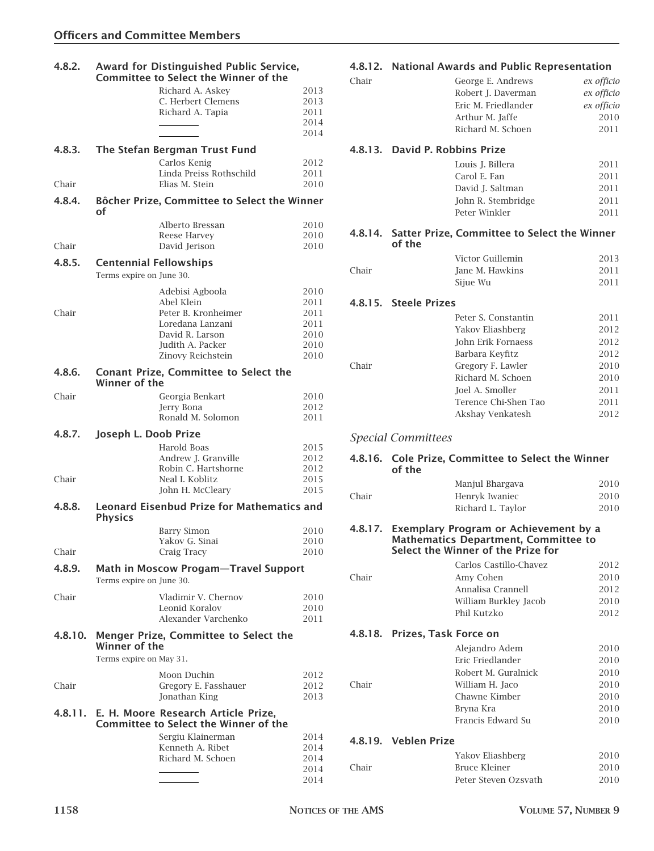| 4.8.2.          |                                                           | Award for Distinguished Public Service,<br><b>Committee to Select the Winner of the</b>                                              |                                                      |
|-----------------|-----------------------------------------------------------|--------------------------------------------------------------------------------------------------------------------------------------|------------------------------------------------------|
|                 |                                                           | Richard A. Askey<br>C. Herbert Clemens<br>Richard A. Tapia                                                                           | 2013<br>2013<br>2011                                 |
|                 |                                                           |                                                                                                                                      | 2014<br>2014                                         |
| 4.8.3.          |                                                           | The Stefan Bergman Trust Fund                                                                                                        |                                                      |
|                 |                                                           | Carlos Kenig<br>Linda Preiss Rothschild                                                                                              | 2012<br>2011                                         |
| Chair           |                                                           | Elias M. Stein                                                                                                                       | 2010                                                 |
| 4.8.4.          | οf                                                        | Bôcher Prize, Committee to Select the Winner                                                                                         |                                                      |
| Chair           |                                                           | Alberto Bressan<br>Reese Harvey<br>David Jerison                                                                                     | 2010<br>2010<br>2010                                 |
| 4.8.5.          | <b>Centennial Fellowships</b><br>Terms expire on June 30. |                                                                                                                                      |                                                      |
| Chair           |                                                           | Adebisi Agboola<br>Abel Klein<br>Peter B. Kronheimer<br>Loredana Lanzani<br>David R. Larson<br>Judith A. Packer<br>Zinovy Reichstein | 2010<br>2011<br>2011<br>2011<br>2010<br>2010<br>2010 |
| 4.8.6.          | Winner of the                                             | <b>Conant Prize, Committee to Select the</b>                                                                                         |                                                      |
| Chair           |                                                           | Georgia Benkart<br>Jerry Bona<br>Ronald M. Solomon                                                                                   | 2010<br>2012<br>2011                                 |
| 4.8.7.<br>Chair | Joseph L. Doob Prize                                      | Harold Boas<br>Andrew J. Granville<br>Robin C. Hartshorne<br>Neal I. Koblitz<br>John H. McCleary                                     | 2015<br>2012<br>2012<br>2015<br>2015                 |
| 4.8.8.          | <b>Physics</b>                                            | <b>Leonard Eisenbud Prize for Mathematics and</b>                                                                                    |                                                      |
| Chair           |                                                           | <b>Barry Simon</b><br>Yakov G. Sinai<br>Craig Tracy                                                                                  | 2010<br>2010<br>2010                                 |
| 4.8.9.          | Terms expire on June 30.                                  | <b>Math in Moscow Progam-Travel Support</b>                                                                                          |                                                      |
| Chair           |                                                           | Vladimir V. Chernov<br>Leonid Koralov<br>Alexander Varchenko                                                                         | 2010<br>2010<br>2011                                 |
| 4.8.10.         | Winner of the<br>Terms expire on May 31.                  | Menger Prize, Committee to Select the                                                                                                |                                                      |
| Chair           |                                                           | Moon Duchin<br>Gregory E. Fasshauer<br>Jonathan King                                                                                 | 2012<br>2012<br>2013                                 |
|                 |                                                           | 4.8.11. E. H. Moore Research Article Prize,<br><b>Committee to Select the Winner of the</b>                                          |                                                      |
|                 |                                                           | Sergiu Klainerman<br>Kenneth A. Ribet<br>Richard M. Schoen                                                                           | 2014<br>2014<br>2014<br>2014                         |
|                 |                                                           |                                                                                                                                      | 2014                                                 |

# **4.8.12. National Awards and Public Representation**

| Chair   |                                                                                                                            | George E. Andrews      | ex officio   |
|---------|----------------------------------------------------------------------------------------------------------------------------|------------------------|--------------|
|         |                                                                                                                            | Robert J. Daverman     | ex officio   |
|         |                                                                                                                            | Eric M. Friedlander    | ex officio   |
|         | Arthur M. Jaffe                                                                                                            |                        | 2010         |
|         |                                                                                                                            | Richard M. Schoen      | 2011         |
|         | 4.8.13. David P. Robbins Prize                                                                                             |                        |              |
|         | Louis J. Billera                                                                                                           |                        | 2011         |
|         | Carol E. Fan                                                                                                               |                        | 2011         |
|         | David J. Saltman                                                                                                           |                        | 2011         |
|         |                                                                                                                            | John R. Stembridge     | 2011         |
|         | Peter Winkler                                                                                                              |                        | 2011         |
| 4.8.14. | Satter Prize, Committee to Select the Winner<br>of the                                                                     |                        |              |
|         | Victor Guillemin                                                                                                           |                        | 2013         |
| Chair   | Jane M. Hawkins                                                                                                            |                        | 2011         |
|         | Sijue Wu                                                                                                                   |                        | 2011         |
|         | 4.8.15. Steele Prizes                                                                                                      |                        |              |
|         |                                                                                                                            | Peter S. Constantin    | 2011         |
|         | Yakov Eliashberg                                                                                                           |                        | 2012         |
|         |                                                                                                                            | John Erik Fornaess     | 2012         |
|         | Barbara Keyfitz                                                                                                            |                        | 2012         |
| Chair   |                                                                                                                            | Gregory F. Lawler      | 2010         |
|         |                                                                                                                            | Richard M. Schoen      | 2010         |
|         | Joel A. Smoller                                                                                                            |                        | 2011         |
|         |                                                                                                                            | Terence Chi-Shen Tao   | 2011         |
|         |                                                                                                                            | Akshay Venkatesh       | 2012         |
|         |                                                                                                                            |                        |              |
|         | <b>Special Committees</b>                                                                                                  |                        |              |
| 4.8.16. | Cole Prize, Committee to Select the Winner<br>of the                                                                       |                        |              |
|         | Manjul Bhargava                                                                                                            |                        | 2010         |
| Chair   | Henryk Iwaniec                                                                                                             |                        | 2010         |
|         | Richard L. Taylor                                                                                                          |                        | 2010         |
| 4.8.17. | Exemplary Program or Achievement by a<br><b>Mathematics Department, Committee to</b><br>Select the Winner of the Prize for |                        |              |
|         |                                                                                                                            |                        |              |
| Chair   | Amy Cohen                                                                                                                  | Carlos Castillo-Chavez | 2012<br>2010 |
|         |                                                                                                                            | Annalisa Crannell      | 2012         |
|         |                                                                                                                            | William Burkley Jacob  | 2010         |
|         | Phil Kutzko                                                                                                                |                        | 2012         |
|         | 4.8.18. Prizes, Task Force on                                                                                              |                        |              |
|         | Alejandro Adem                                                                                                             |                        | 2010         |
|         | Eric Friedlander                                                                                                           |                        | 2010         |
|         |                                                                                                                            | Robert M. Guralnick    | 2010         |
| Chair   | William H. Jaco                                                                                                            |                        | 2010         |
|         | Chawne Kimber                                                                                                              |                        | 2010         |
|         | Bryna Kra                                                                                                                  |                        | 2010         |
|         |                                                                                                                            | Francis Edward Su      | 2010         |
|         | 4.8.19. Veblen Prize                                                                                                       |                        |              |
|         | Yakov Eliashberg                                                                                                           |                        | 2010         |
| Chair   | <b>Bruce Kleiner</b>                                                                                                       | Peter Steven Ozsvath   | 2010<br>2010 |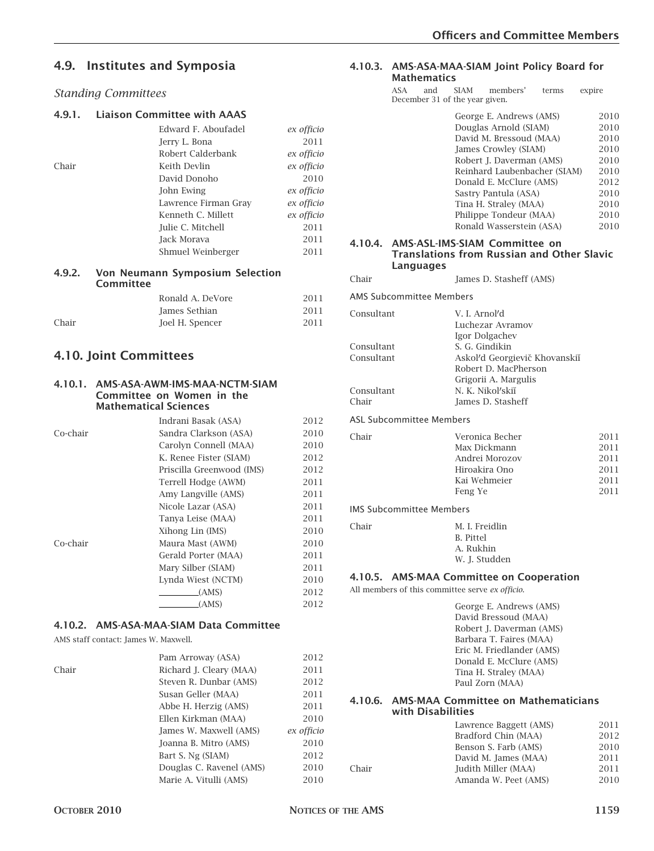# **4.9. Institutes and Symposia**

#### *Standing Committees*

#### **4.9.1. Liaison Committee with AAAS**

|       | Edward F. Aboufadel  | ex officio |
|-------|----------------------|------------|
|       | Jerry L. Bona        | 2011       |
|       | Robert Calderbank    | ex officio |
| Chair | Keith Devlin         | ex officio |
|       | David Donoho         | 2010       |
|       | John Ewing           | ex officio |
|       | Lawrence Firman Gray | ex officio |
|       | Kenneth C. Millett   | ex officio |
|       | Julie C. Mitchell    | 2011       |
|       | Jack Morava          | 2011       |
|       | Shmuel Weinberger    | 2011       |
|       |                      |            |

#### **4.9.2. Von Neumann Symposium Selection Committee**

|       | Ronald A. DeVore | 2011 |
|-------|------------------|------|
|       | James Sethian    | 2011 |
| Chair | Joel H. Spencer  | 2011 |

# **4.10. Joint Committees**

#### **4.10.1. AMS-ASA-AWM-IMS-MAA-NCTM-SIAM Committee on Women in the Mathematical Sciences**

|          | Indrani Basak (ASA)       | 2012 |
|----------|---------------------------|------|
| Co-chair | Sandra Clarkson (ASA)     | 2010 |
|          | Carolyn Connell (MAA)     | 2010 |
|          | K. Renee Fister (SIAM)    | 2012 |
|          | Priscilla Greenwood (IMS) | 2012 |
|          | Terrell Hodge (AWM)       | 2011 |
|          | Amy Langville (AMS)       | 2011 |
|          | Nicole Lazar (ASA)        | 2011 |
|          | Tanya Leise (MAA)         | 2011 |
|          | Xihong Lin (IMS)          | 2010 |
| Co-chair | Maura Mast (AWM)          | 2010 |
|          | Gerald Porter (MAA)       | 2011 |
|          | Mary Silber (SIAM)        | 2011 |
|          | Lynda Wiest (NCTM)        | 2010 |
|          | (AMS)                     | 2012 |
|          | (AMS)                     | 2012 |

## **4.10.2. AMS-ASA-MAA-SIAM Data Committee**

AMS staff contact: James W. Maxwell.

|       | Pam Arroway (ASA)        | 2012       |
|-------|--------------------------|------------|
| Chair | Richard J. Cleary (MAA)  | 2011       |
|       | Steven R. Dunbar (AMS)   | 2012       |
|       | Susan Geller (MAA)       | 2011       |
|       | Abbe H. Herzig (AMS)     | 2011       |
|       | Ellen Kirkman (MAA)      | 2010       |
|       | James W. Maxwell (AMS)   | ex officio |
|       | Joanna B. Mitro (AMS)    | 2010       |
|       | Bart S. Ng (SIAM)        | 2012       |
|       | Douglas C. Ravenel (AMS) | 2010       |
|       | Marie A. Vitulli (AMS)   | 2010       |

# **4.10.3. AMS-ASA-MAA-SIAM Joint Policy Board for**

| Mathematics                                                   |                                                                                                                                                                                                                                                                                                   |                                                                                      |
|---------------------------------------------------------------|---------------------------------------------------------------------------------------------------------------------------------------------------------------------------------------------------------------------------------------------------------------------------------------------------|--------------------------------------------------------------------------------------|
| ASA<br>and<br>December 31 of the year given.                  | <b>SIAM</b><br>members'<br>terms                                                                                                                                                                                                                                                                  | expire                                                                               |
|                                                               | George E. Andrews (AMS)<br>Douglas Arnold (SIAM)<br>David M. Bressoud (MAA)<br>James Crowley (SIAM)<br>Robert J. Daverman (AMS)<br>Reinhard Laubenbacher (SIAM)<br>Donald E. McClure (AMS)<br>Sastry Pantula (ASA)<br>Tina H. Straley (MAA)<br>Philippe Tondeur (MAA)<br>Ronald Wasserstein (ASA) | 2010<br>2010<br>2010<br>2010<br>2010<br>2010<br>2012<br>2010<br>2010<br>2010<br>2010 |
| Languages                                                     | 4.10.4. AMS-ASL-IMS-SIAM Committee on<br>Translations from Russian and Other Slavic                                                                                                                                                                                                               |                                                                                      |
| Chair                                                         | James D. Stasheff (AMS)                                                                                                                                                                                                                                                                           |                                                                                      |
| AMS Subcommittee Members                                      |                                                                                                                                                                                                                                                                                                   |                                                                                      |
| Consultant<br>Consultant<br>Consultant<br>Consultant<br>Chair | V. I. Arnol'd<br>Luchezar Avramov<br>Igor Dolgachev<br>S. G. Gindikin<br>Askol'd Georgievič Khovanskiĭ<br>Robert D. MacPherson<br>Grigorii A. Margulis<br>N. K. Nikol'skiĭ<br>James D. Stasheff                                                                                                   |                                                                                      |
| <b>ASL Subcommittee Members</b>                               |                                                                                                                                                                                                                                                                                                   |                                                                                      |
| Chair                                                         | Veronica Becher<br>Max Dickmann<br>Andrei Morozov<br>Hiroakira Ono<br>Kai Wehmeier<br>Feng Ye                                                                                                                                                                                                     | 2011<br>2011<br>2011<br>2011<br>2011<br>2011                                         |
| <b>IMS Subcommittee Members</b>                               |                                                                                                                                                                                                                                                                                                   |                                                                                      |
| Chair                                                         | M. I. Freidlin<br>B. Pittel<br>A. Rukhin<br>W. J. Studden                                                                                                                                                                                                                                         |                                                                                      |
| All members of this committee serve ex officio.               | 4.10.5. AMS-MAA Committee on Cooperation                                                                                                                                                                                                                                                          |                                                                                      |
|                                                               | George E. Andrews (AMS)<br>David Bressoud (MAA)<br>Robert J. Daverman (AMS)<br>Barbara T. Faires (MAA)<br>Eric M. Friedlander (AMS)<br>Donald E. McClure (AMS)<br>Tina H. Straley (MAA)<br>Paul Zorn (MAA)                                                                                        |                                                                                      |
| with Disabilities                                             | 4.10.6. AMS-MAA Committee on Mathematicians                                                                                                                                                                                                                                                       |                                                                                      |
| Chair                                                         | Lawrence Baggett (AMS)<br>Bradford Chin (MAA)<br>Benson S. Farb (AMS)<br>David M. James (MAA)<br>Judith Miller (MAA)<br>Amanda W. Peet (AMS)                                                                                                                                                      | 2011<br>2012<br>2010<br>2011<br>2011<br>2010                                         |
|                                                               |                                                                                                                                                                                                                                                                                                   |                                                                                      |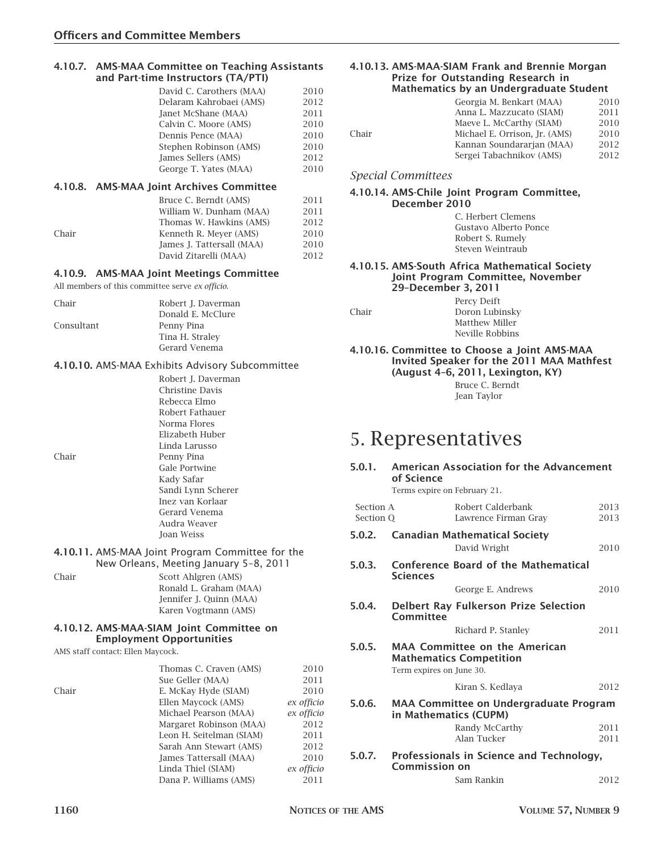#### **4.10.7. AMS-MAA Committee on Teaching Assistants and Part-time Instructors (TA/PTI)**

| David C. Carothers (MAA) | 2010 |
|--------------------------|------|
| Delaram Kahrobaei (AMS)  | 2012 |
| Janet McShane (MAA)      | 2011 |
| Calvin C. Moore (AMS)    | 2010 |
| Dennis Pence (MAA)       | 2010 |
| Stephen Robinson (AMS)   | 2010 |
| James Sellers (AMS)      | 2012 |
| George T. Yates (MAA)    | 2010 |
|                          |      |

#### **4.10.8. AMS-MAA Joint Archives Committee**

|       | Bruce C. Berndt (AMS)     | 2011 |
|-------|---------------------------|------|
|       | William W. Dunham (MAA)   | 2011 |
|       | Thomas W. Hawkins (AMS)   | 2012 |
| Chair | Kenneth R. Mever (AMS)    | 2010 |
|       | James J. Tattersall (MAA) | 2010 |
|       | David Zitarelli (MAA)     | 2012 |
|       |                           |      |

#### **4.10.9. AMS-MAA Joint Meetings Committee**

All members of this committee serve *ex officio*.

| Chair      | Robert J. Daverman |
|------------|--------------------|
|            | Donald E. McClure  |
| Consultant | Penny Pina         |
|            | Tina H. Straley    |
|            | Gerard Venema      |

#### **4.10.10.** AMS-MAA Exhibits Advisory Subcommittee

| Robert J. Daverman |
|--------------------|
| Christine Davis    |
| Rebecca Elmo       |
| Robert Fathauer    |
| Norma Flores       |
| Elizabeth Huber    |
| Linda Larusso      |
| Penny Pina         |
| Gale Portwine      |
| Kady Safar         |
| Sandi Lynn Scherer |
| Inez van Korlaar   |
| Gerard Venema      |
| Audra Weaver       |
| <b>Ioan Weiss</b>  |

#### **4.10.11.** AMS-MAA Joint Program Committee for the New Orleans, Meeting January 5–8, 2011

Chair Scott Ahlgren (AMS) Ronald L. Graham (MAA) Jennifer J. Quinn (MAA) Karen Vogtmann (AMS)

#### **4.10.12. AMS-MAA-SIAM Joint Committee on Employment Opportunities**

AMS staff contact: Ellen Maycock.

|       | Thomas C. Craven (AMS)   | 2010       |
|-------|--------------------------|------------|
|       | Sue Geller (MAA)         | 2011       |
| Chair | E. McKay Hyde (SIAM)     | 2010       |
|       | Ellen Maycock (AMS)      | ex officio |
|       | Michael Pearson (MAA)    | ex officio |
|       | Margaret Robinson (MAA)  | 2012       |
|       | Leon H. Seitelman (SIAM) | 2011       |
|       | Sarah Ann Stewart (AMS)  | 2012       |
|       | James Tattersall (MAA)   | 2010       |
|       | Linda Thiel (SIAM)       | ex officio |
|       | Dana P. Williams (AMS)   | 2011       |
|       |                          |            |

#### **4.10.13. AMS-MAA-SIAM Frank and Brennie Morgan Prize for Outstanding Research in Mathematics by an Undergraduate Student**

|       | Georgia M. Benkart (MAA)      | 2010 |
|-------|-------------------------------|------|
|       | Anna L. Mazzucato (SIAM)      | 2011 |
|       | Maeve L. McCarthy (SIAM)      | 2010 |
| Chair | Michael E. Orrison, Jr. (AMS) | 2010 |
|       | Kannan Soundararjan (MAA)     | 2012 |
|       | Sergei Tabachnikov (AMS)      | 2012 |
|       |                               |      |

#### *Special Committees*

#### **4.10.14. AMS-Chile Joint Program Committee, December 2010**

C. Herbert Clemens Gustavo Alberto Ponce Robert S. Rumely Steven Weintraub

#### **4.10.15. AMS-South Africa Mathematical Society Joint Program Committee, November 29–December 3, 2011**

|       | Percy Deift     |
|-------|-----------------|
| Chair | Doron Lubinsky  |
|       | Matthew Miller  |
|       | Neville Robbins |

**4.10.16. Committee to Choose a Joint AMS-MAA Invited Speaker for the 2011 MAA Mathfest (August 4–6, 2011, Lexington, KY)** Bruce C. Berndt Jean Taylor

# 5. Representatives

# **5.0.1. American Association for the Advancement of Science** Terms expire on February 21. Section A **Robert Calderbank** 2013 Section Q Lawrence Firman Gray 2013 **5.0.2. Canadian Mathematical Society** David Wright 2010 **5.0.3. Conference Board of the Mathematical Sciences** George E. Andrews 2010 **5.0.4. Delbert Ray Fulkerson Prize Selection Committee** Richard P. Stanley 2011 **5.0.5. MAA Committee on the American Mathematics Competition** Term expires on June 30. Kiran S. Kedlaya 2012 **5.0.6. MAA Committee on Undergraduate Program in Mathematics (CUPM)** Randy McCarthy 2011 Alan Tucker 2011 **5.0.7. Professionals in Science and Technology, Commission on** Sam Rankin 2012

Chair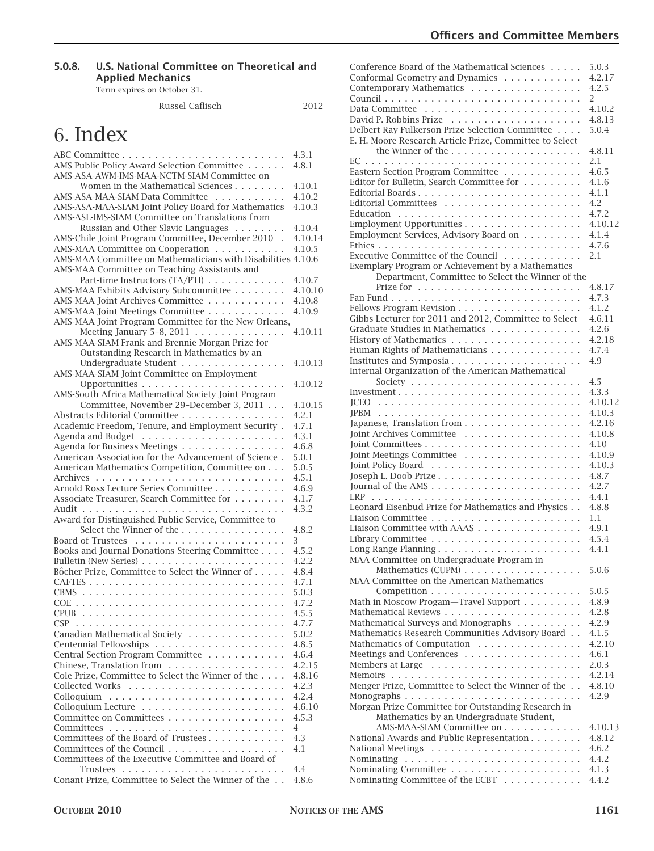### **5.0.8. U.S. National Committee on Theoretical and Applied Mechanics**

Term expires on October 31.

#### Russel Caflisch 2012

# 6. Index

|                                                                                  | 4.3.1          |
|----------------------------------------------------------------------------------|----------------|
| AMS Public Policy Award Selection Committee                                      | 4.8.1          |
| AMS-ASA-AWM-IMS-MAA-NCTM-SIAM Committee on                                       |                |
| Women in the Mathematical Sciences                                               | 4.10.1         |
| AMS-ASA-MAA-SIAM Data Committee                                                  | 4.10.2         |
| AMS-ASA-MAA-SIAM Joint Policy Board for Mathematics                              | 4.10.3         |
| AMS-ASL-IMS-SIAM Committee on Translations from                                  |                |
| Russian and Other Slavic Languages                                               | 4.10.4         |
| AMS-Chile Joint Program Committee, December 2010.                                | 4.10.14        |
| AMS-MAA Committee on Cooperation                                                 | 4.10.5         |
| AMS-MAA Committee on Mathematicians with Disabilities 4.10.6                     |                |
| AMS-MAA Committee on Teaching Assistants and                                     |                |
| Part-time Instructors (TA/PTI)                                                   | 4.10.7         |
| AMS-MAA Exhibits Advisory Subcommittee                                           | 4.10.10        |
| AMS-MAA Joint Archives Committee                                                 | 4.10.8         |
| AMS-MAA Joint Meetings Committee                                                 | 4.10.9         |
| AMS-MAA Joint Program Committee for the New Orleans,                             |                |
| Meeting January 5-8, 2011 $\ldots \ldots \ldots \ldots$                          | 4.10.11        |
| AMS-MAA-SIAM Frank and Brennie Morgan Prize for                                  |                |
| Outstanding Research in Mathematics by an                                        |                |
| Undergraduate Student                                                            | 4.10.13        |
| AMS-MAA-SIAM Joint Committee on Employment                                       |                |
|                                                                                  | 4.10.12        |
| AMS-South Africa Mathematical Society Joint Program                              |                |
| Committee, November 29-December 3, 2011                                          | 4.10.15        |
| Abstracts Editorial Committee                                                    | 4.2.1          |
| Academic Freedom, Tenure, and Employment Security.                               | 4.7.1          |
|                                                                                  | 4.3.1          |
| Agenda for Business Meetings                                                     | 4.6.8          |
| American Association for the Advancement of Science.                             | 5.0.1          |
| American Mathematics Competition, Committee on                                   | 5.0.5          |
|                                                                                  | 4.5.1          |
| Arnold Ross Lecture Series Committee                                             |                |
| Associate Treasurer, Search Committee for                                        | 4.6.9<br>4.1.7 |
|                                                                                  | 4.3.2          |
|                                                                                  |                |
| Award for Distinguished Public Service, Committee to<br>Select the Winner of the | 4.8.2          |
|                                                                                  | 3              |
|                                                                                  | 4.5.2          |
| Books and Journal Donations Steering Committee                                   |                |
| Bôcher Prize, Committee to Select the Winner of                                  | 4.2.2          |
|                                                                                  | 4.8.4<br>4.7.1 |
|                                                                                  | 5.0.3          |
|                                                                                  | 4.7.2          |
|                                                                                  | 4.5.5          |
|                                                                                  | 4.7.7          |
|                                                                                  |                |
| Canadian Mathematical Society                                                    | 5.0.2          |
|                                                                                  | 4.8.5          |
| Central Section Program Committee                                                | 4.6.4          |
| Chinese, Translation from                                                        | 4.2.15         |
| Cole Prize, Committee to Select the Winner of the                                | 4.8.16         |
|                                                                                  | 4.2.3          |
|                                                                                  | 4.2.4          |
|                                                                                  | 4.6.10         |
| Committee on Committees                                                          | 4.5.3          |
|                                                                                  | 4              |
| Committees of the Board of Trustees                                              | 4.3            |
| Committees of the Council                                                        | 4.1            |
| Committees of the Executive Committee and Board of                               |                |
|                                                                                  | 4.4            |
| Conant Prize, Committee to Select the Winner of the                              | 4.8.6          |

| Conference Board of the Mathematical Sciences           | 5.0.3   |
|---------------------------------------------------------|---------|
| Conformal Geometry and Dynamics                         | 4.2.17  |
|                                                         | 4.2.5   |
| Contemporary Mathematics                                |         |
|                                                         | 2       |
|                                                         | 4.10.2  |
|                                                         | 4.8.13  |
| Delbert Ray Fulkerson Prize Selection Committee         | 5.0.4   |
|                                                         |         |
| E. H. Moore Research Article Prize, Committee to Select |         |
|                                                         | 4.8.11  |
|                                                         | 2.1     |
| Eastern Section Program Committee                       | 4.6.5   |
| Editor for Bulletin, Search Committee for               | 4.1.6   |
|                                                         | 4.1.1   |
|                                                         |         |
|                                                         | 4.2     |
|                                                         | 4.7.2   |
| Employment Opportunities                                | 4.10.12 |
| Employment Services, Advisory Board on                  | 4.1.4   |
|                                                         | 4.7.6   |
| Executive Committee of the Council                      |         |
|                                                         | 2.1     |
| Exemplary Program or Achievement by a Mathematics       |         |
| Department, Committee to Select the Winner of the       |         |
|                                                         | 4.8.17  |
|                                                         | 4.7.3   |
|                                                         |         |
|                                                         | 4.1.2   |
| Gibbs Lecturer for 2011 and 2012, Committee to Select   | 4.6.11  |
| Graduate Studies in Mathematics                         | 4.2.6   |
|                                                         | 4.2.18  |
| Human Rights of Mathematicians                          | 4.7.4   |
|                                                         |         |
| Institutes and Symposia                                 | 4.9     |
| Internal Organization of the American Mathematical      |         |
|                                                         | 4.5     |
|                                                         | 4.3.3   |
|                                                         | 4.10.12 |
|                                                         |         |
|                                                         | 4.10.3  |
| Japanese, Translation from                              | 4.2.16  |
|                                                         | 4.10.8  |
|                                                         | 4.10    |
|                                                         | 4.10.9  |
|                                                         |         |
|                                                         | 4.10.3  |
|                                                         | 4.8.7   |
|                                                         | 4.2.7   |
|                                                         | 4.4.1   |
| Leonard Eisenbud Prize for Mathematics and Physics      | 4.8.8   |
|                                                         |         |
|                                                         | 1.1     |
| Liaison Committee with AAAS                             | 4.9.1   |
|                                                         | 4.5.4   |
|                                                         | 441     |
| MAA Committee on Undergraduate Program in               |         |
| Mathematics (CUPM)                                      | 5.0.6   |
|                                                         |         |
| MAA Committee on the American Mathematics               |         |
|                                                         | 5.0.5   |
| Math in Moscow Progam-Travel Support                    | 4.8.9   |
|                                                         | 4.2.8   |
| Mathematical Surveys and Monographs                     | 4.2.9   |
|                                                         | 4.1.5   |
| Mathematics Research Communities Advisory Board         |         |
| Mathematics of Computation                              | 4.2.10  |
| Meetings and Conferences                                | 4.6.1   |
|                                                         | 2.0.3   |
|                                                         | 4.2.14  |
|                                                         |         |
| Menger Prize, Committee to Select the Winner of the     | 4.8.10  |
| Monographs                                              | 4.2.9   |
| Morgan Prize Committee for Outstanding Research in      |         |
| Mathematics by an Undergraduate Student,                |         |
| AMS-MAA-SIAM Committee on                               | 4.10.13 |
|                                                         | 4.8.12  |
| National Awards and Public Representation               |         |
|                                                         | 4.6.2   |
|                                                         | 4.4.2   |
|                                                         | 4.1.3   |
|                                                         |         |
| Nominating Committee of the ECBT                        | 4.4.2   |